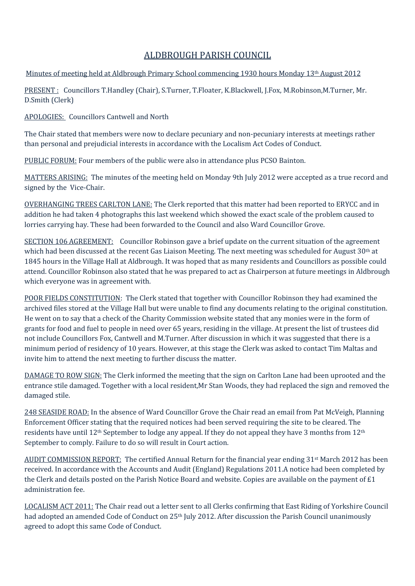## ALDBROUGH PARISH COUNCIL

## Minutes of meeting held at Aldbrough Primary School commencing 1930 hours Monday 13th August 2012

PRESENT : Councillors T.Handley (Chair), S.Turner, T.Floater, K.Blackwell, J.Fox, M.Robinson,M.Turner, Mr. D.Smith (Clerk)

APOLOGIES: Councillors Cantwell and North

The Chair stated that members were now to declare pecuniary and non-pecuniary interests at meetings rather than personal and prejudicial interests in accordance with the Localism Act Codes of Conduct.

PUBLIC FORUM: Four members of the public were also in attendance plus PCSO Bainton.

MATTERS ARISING: The minutes of the meeting held on Monday 9th July 2012 were accepted as a true record and signed by the Vice-Chair.

OVERHANGING TREES CARLTON LANE: The Clerk reported that this matter had been reported to ERYCC and in addition he had taken 4 photographs this last weekend which showed the exact scale of the problem caused to lorries carrying hay. These had been forwarded to the Council and also Ward Councillor Grove.

SECTION 106 AGREEMENT: Councillor Robinson gave a brief update on the current situation of the agreement which had been discussed at the recent Gas Liaison Meeting. The next meeting was scheduled for August 30th at 1845 hours in the Village Hall at Aldbrough. It was hoped that as many residents and Councillors as possible could attend. Councillor Robinson also stated that he was prepared to act as Chairperson at future meetings in Aldbrough which everyone was in agreement with.

POOR FIELDS CONSTITUTION: The Clerk stated that together with Councillor Robinson they had examined the archived files stored at the Village Hall but were unable to find any documents relating to the original constitution. He went on to say that a check of the Charity Commission website stated that any monies were in the form of grants for food and fuel to people in need over 65 years, residing in the village. At present the list of trustees did not include Councillors Fox, Cantwell and M.Turner. After discussion in which it was suggested that there is a minimum period of residency of 10 years. However, at this stage the Clerk was asked to contact Tim Maltas and invite him to attend the next meeting to further discuss the matter.

DAMAGE TO ROW SIGN: The Clerk informed the meeting that the sign on Carlton Lane had been uprooted and the entrance stile damaged. Together with a local resident,Mr Stan Woods, they had replaced the sign and removed the damaged stile.

248 SEASIDE ROAD: In the absence of Ward Councillor Grove the Chair read an email from Pat McVeigh, Planning Enforcement Officer stating that the required notices had been served requiring the site to be cleared. The residents have until 12th September to lodge any appeal. If they do not appeal they have 3 months from 12th September to comply. Failure to do so will result in Court action.

AUDIT COMMISSION REPORT: The certified Annual Return for the financial year ending 31st March 2012 has been received. In accordance with the Accounts and Audit (England) Regulations 2011.A notice had been completed by the Clerk and details posted on the Parish Notice Board and website. Copies are available on the payment of £1 administration fee.

LOCALISM ACT 2011: The Chair read out a letter sent to all Clerks confirming that East Riding of Yorkshire Council had adopted an amended Code of Conduct on 25<sup>th</sup> July 2012. After discussion the Parish Council unanimously agreed to adopt this same Code of Conduct.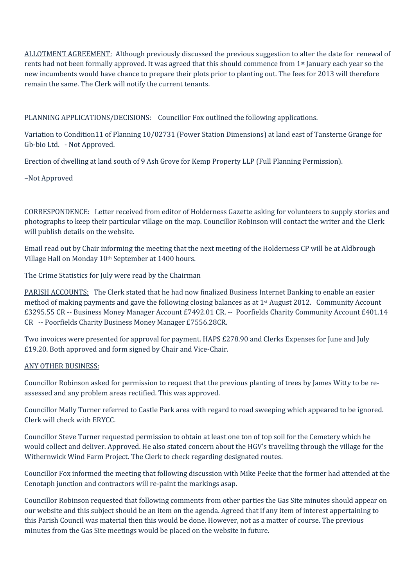ALLOTMENT AGREEMENT: Although previously discussed the previous suggestion to alter the date for renewal of rents had not been formally approved. It was agreed that this should commence from 1st January each year so the new incumbents would have chance to prepare their plots prior to planting out. The fees for 2013 will therefore remain the same. The Clerk will notify the current tenants.

## PLANNING APPLICATIONS/DECISIONS: Councillor Fox outlined the following applications.

Variation to Condition11 of Planning 10/02731 (Power Station Dimensions) at land east of Tansterne Grange for Gb-bio Ltd. - Not Approved.

Erection of dwelling at land south of 9 Ash Grove for Kemp Property LLP (Full Planning Permission).

–Not Approved

CORRESPONDENCE: Letter received from editor of Holderness Gazette asking for volunteers to supply stories and photographs to keep their particular village on the map. Councillor Robinson will contact the writer and the Clerk will publish details on the website.

Email read out by Chair informing the meeting that the next meeting of the Holderness CP will be at Aldbrough Village Hall on Monday 10th September at 1400 hours.

The Crime Statistics for July were read by the Chairman

PARISH ACCOUNTS: The Clerk stated that he had now finalized Business Internet Banking to enable an easier method of making payments and gave the following closing balances as at 1st August 2012. Community Account £3295.55 CR -- Business Money Manager Account £7492.01 CR. -- Poorfields Charity Community Account £401.14 CR -- Poorfields Charity Business Money Manager £7556.28CR.

Two invoices were presented for approval for payment. HAPS £278.90 and Clerks Expenses for June and July £19.20. Both approved and form signed by Chair and Vice-Chair.

## ANY OTHER BUSINESS:

Councillor Robinson asked for permission to request that the previous planting of trees by James Witty to be re assessed and any problem areas rectified. This was approved.

Councillor Mally Turner referred to Castle Park area with regard to road sweeping which appeared to be ignored. Clerk will check with ERYCC.

Councillor Steve Turner requested permission to obtain at least one ton of top soil for the Cemetery which he would collect and deliver. Approved. He also stated concern about the HGV's travelling through the village for the Withernwick Wind Farm Project. The Clerk to check regarding designated routes.

Councillor Fox informed the meeting that following discussion with Mike Peeke that the former had attended at the Cenotaph junction and contractors will re-paint the markings asap.

Councillor Robinson requested that following comments from other parties the Gas Site minutes should appear on our website and this subject should be an item on the agenda. Agreed that if any item of interest appertaining to this Parish Council was material then this would be done. However, not as a matter of course. The previous minutes from the Gas Site meetings would be placed on the website in future.